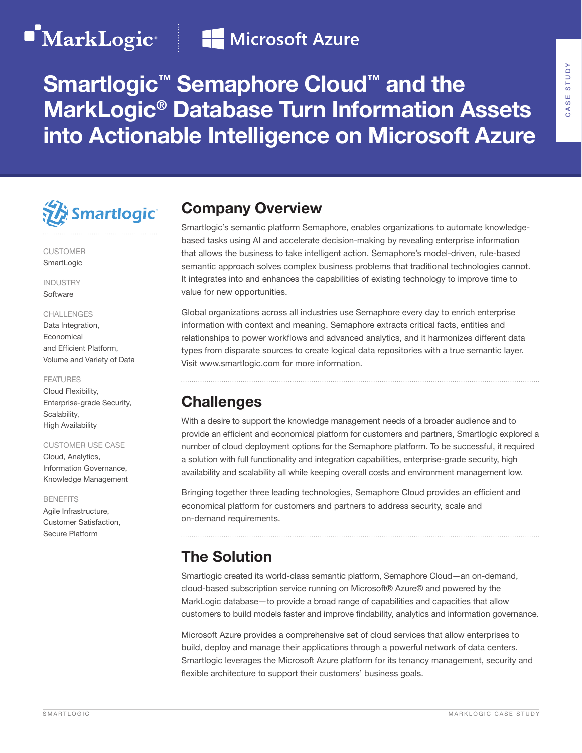# MarkLogic<sup>®</sup>Fall Microsoft Azure

## Smartlogic<sup>™</sup> Semaphore Cloud<sup>™</sup> and the MarkLogic® Database Turn Information Assets into Actionable Intelligence on Microsoft Azure



CUSTOMER **SmartLogic** 

INDUSTRY **Software** 

### CHALLENGES

Data Integration, Economical and Efficient Platform, Volume and Variety of Data

### FEATURES

Cloud Flexibility, Enterprise-grade Security, Scalability, High Availability

### CUSTOMER USE CASE

Cloud, Analytics, Information Governance, Knowledge Management

#### BENEFITS

Agile Infrastructure, Customer Satisfaction, Secure Platform

### Company Overview

Smartlogic's semantic platform Semaphore, enables organizations to automate knowledgebased tasks using AI and accelerate decision-making by revealing enterprise information that allows the business to take intelligent action. Semaphore's model-driven, rule-based semantic approach solves complex business problems that traditional technologies cannot. It integrates into and enhances the capabilities of existing technology to improve time to value for new opportunities.

Global organizations across all industries use Semaphore every day to enrich enterprise information with context and meaning. Semaphore extracts critical facts, entities and relationships to power workflows and advanced analytics, and it harmonizes different data types from disparate sources to create logical data repositories with a true semantic layer. Visit www.smartlogic.com for more information.

## **Challenges**

With a desire to support the knowledge management needs of a broader audience and to provide an efficient and economical platform for customers and partners, Smartlogic explored a number of cloud deployment options for the Semaphore platform. To be successful, it required a solution with full functionality and integration capabilities, enterprise-grade security, high availability and scalability all while keeping overall costs and environment management low.

Bringing together three leading technologies, Semaphore Cloud provides an efficient and economical platform for customers and partners to address security, scale and on-demand requirements.

## The Solution

Smartlogic created its world-class semantic platform, Semaphore Cloud—an on-demand, cloud-based subscription service running on Microsoft® Azure® and powered by the MarkLogic database—to provide a broad range of capabilities and capacities that allow customers to build models faster and improve findability, analytics and information governance.

Microsoft Azure provides a comprehensive set of cloud services that allow enterprises to build, deploy and manage their applications through a powerful network of data centers. Smartlogic leverages the Microsoft Azure platform for its tenancy management, security and flexible architecture to support their customers' business goals.

CASE STUDY

CASE STUDY